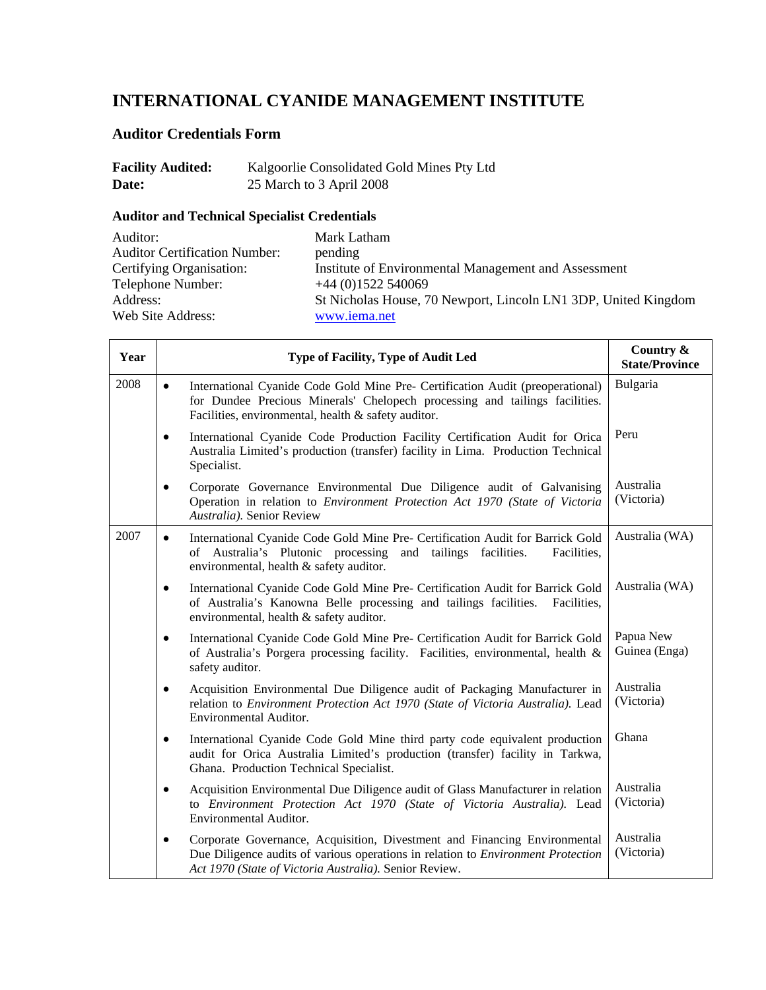# **INTERNATIONAL CYANIDE MANAGEMENT INSTITUTE**

## **Auditor Credentials Form**

| <b>Facility Audited:</b> | Kalgoorlie Consolidated Gold Mines Pty Ltd |
|--------------------------|--------------------------------------------|
| Date:                    | 25 March to 3 April 2008                   |

## **Auditor and Technical Specialist Credentials**

| Auditor:                             | Mark Latham                                                    |
|--------------------------------------|----------------------------------------------------------------|
| <b>Auditor Certification Number:</b> | pending                                                        |
| Certifying Organisation:             | Institute of Environmental Management and Assessment           |
| Telephone Number:                    | $+44(0)1522540069$                                             |
| Address:                             | St Nicholas House, 70 Newport, Lincoln LN1 3DP, United Kingdom |
| Web Site Address:                    | www.iema.net                                                   |

| Year | Type of Facility, Type of Audit Led                                                                                                                                                                                               | Country &<br><b>State/Province</b> |
|------|-----------------------------------------------------------------------------------------------------------------------------------------------------------------------------------------------------------------------------------|------------------------------------|
| 2008 | International Cyanide Code Gold Mine Pre- Certification Audit (preoperational)<br>$\bullet$<br>for Dundee Precious Minerals' Chelopech processing and tailings facilities.<br>Facilities, environmental, health & safety auditor. | Bulgaria                           |
|      | International Cyanide Code Production Facility Certification Audit for Orica<br>٠<br>Australia Limited's production (transfer) facility in Lima. Production Technical<br>Specialist.                                              | Peru                               |
|      | Corporate Governance Environmental Due Diligence audit of Galvanising<br>$\bullet$<br>Operation in relation to Environment Protection Act 1970 (State of Victoria<br>Australia). Senior Review                                    | Australia<br>(Victoria)            |
| 2007 | International Cyanide Code Gold Mine Pre- Certification Audit for Barrick Gold<br>$\bullet$<br>of Australia's Plutonic processing and tailings facilities.<br>Facilities,<br>environmental, health & safety auditor.              | Australia (WA)                     |
|      | International Cyanide Code Gold Mine Pre- Certification Audit for Barrick Gold<br>$\bullet$<br>of Australia's Kanowna Belle processing and tailings facilities.<br>Facilities,<br>environmental, health & safety auditor.         | Australia (WA)                     |
|      | International Cyanide Code Gold Mine Pre- Certification Audit for Barrick Gold<br>$\bullet$<br>of Australia's Porgera processing facility. Facilities, environmental, health &<br>safety auditor.                                 | Papua New<br>Guinea (Enga)         |
|      | Acquisition Environmental Due Diligence audit of Packaging Manufacturer in<br>$\bullet$<br>relation to Environment Protection Act 1970 (State of Victoria Australia). Lead<br>Environmental Auditor.                              | Australia<br>(Victoria)            |
|      | International Cyanide Code Gold Mine third party code equivalent production<br>$\bullet$<br>audit for Orica Australia Limited's production (transfer) facility in Tarkwa,<br>Ghana. Production Technical Specialist.              | Ghana                              |
|      | Acquisition Environmental Due Diligence audit of Glass Manufacturer in relation<br>$\bullet$<br>to Environment Protection Act 1970 (State of Victoria Australia). Lead<br>Environmental Auditor.                                  | Australia<br>(Victoria)            |
|      | Corporate Governance, Acquisition, Divestment and Financing Environmental<br>٠<br>Due Diligence audits of various operations in relation to Environment Protection<br>Act 1970 (State of Victoria Australia). Senior Review.      | Australia<br>(Victoria)            |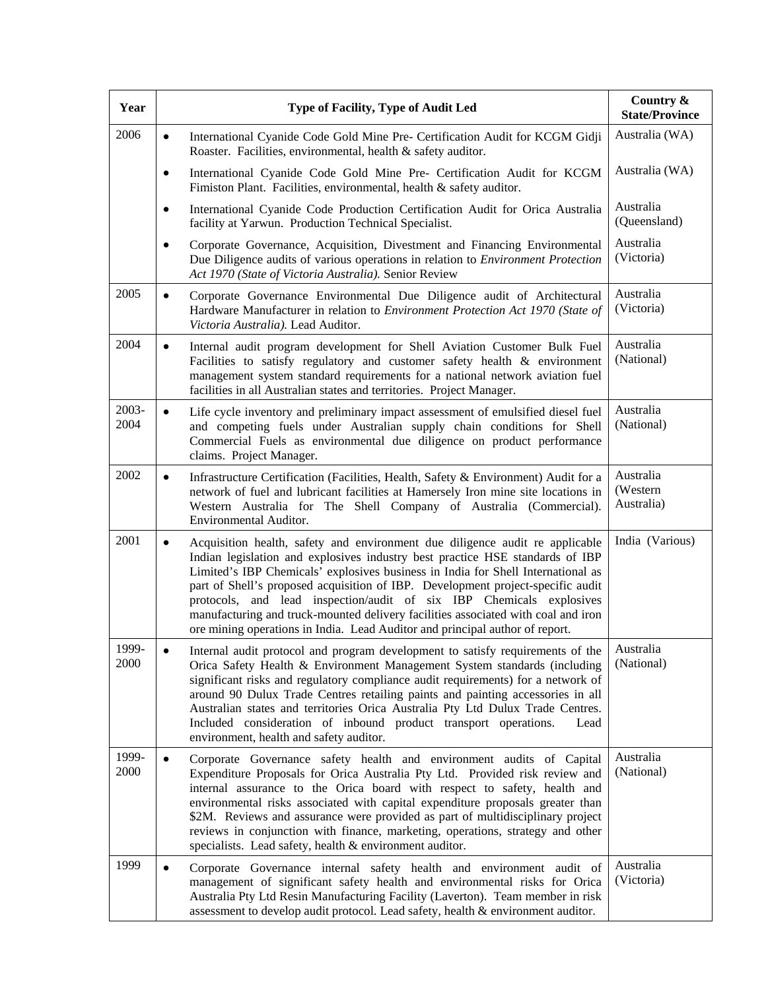| Year          | Type of Facility, Type of Audit Led                                                                                                                                                                                                                                                                                                                                                                                                                                                                                                                                                            | Country &<br><b>State/Province</b>   |
|---------------|------------------------------------------------------------------------------------------------------------------------------------------------------------------------------------------------------------------------------------------------------------------------------------------------------------------------------------------------------------------------------------------------------------------------------------------------------------------------------------------------------------------------------------------------------------------------------------------------|--------------------------------------|
| 2006          | International Cyanide Code Gold Mine Pre- Certification Audit for KCGM Gidji<br>٠<br>Roaster. Facilities, environmental, health & safety auditor.                                                                                                                                                                                                                                                                                                                                                                                                                                              | Australia (WA)                       |
|               | International Cyanide Code Gold Mine Pre- Certification Audit for KCGM<br>٠<br>Fimiston Plant. Facilities, environmental, health & safety auditor.                                                                                                                                                                                                                                                                                                                                                                                                                                             | Australia (WA)                       |
|               | International Cyanide Code Production Certification Audit for Orica Australia<br>٠<br>facility at Yarwun. Production Technical Specialist.                                                                                                                                                                                                                                                                                                                                                                                                                                                     | Australia<br>(Queensland)            |
|               | Corporate Governance, Acquisition, Divestment and Financing Environmental<br>$\bullet$<br>Due Diligence audits of various operations in relation to Environment Protection<br>Act 1970 (State of Victoria Australia). Senior Review                                                                                                                                                                                                                                                                                                                                                            | Australia<br>(Victoria)              |
| 2005          | Corporate Governance Environmental Due Diligence audit of Architectural<br>$\bullet$<br>Hardware Manufacturer in relation to Environment Protection Act 1970 (State of<br>Victoria Australia). Lead Auditor.                                                                                                                                                                                                                                                                                                                                                                                   | Australia<br>(Victoria)              |
| 2004          | Internal audit program development for Shell Aviation Customer Bulk Fuel<br>$\bullet$<br>Facilities to satisfy regulatory and customer safety health & environment<br>management system standard requirements for a national network aviation fuel<br>facilities in all Australian states and territories. Project Manager.                                                                                                                                                                                                                                                                    | Australia<br>(National)              |
| 2003-<br>2004 | Life cycle inventory and preliminary impact assessment of emulsified diesel fuel<br>$\bullet$<br>and competing fuels under Australian supply chain conditions for Shell<br>Commercial Fuels as environmental due diligence on product performance<br>claims. Project Manager.                                                                                                                                                                                                                                                                                                                  | Australia<br>(National)              |
| 2002          | Infrastructure Certification (Facilities, Health, Safety & Environment) Audit for a<br>$\bullet$<br>network of fuel and lubricant facilities at Hamersely Iron mine site locations in<br>Western Australia for The Shell Company of Australia (Commercial).<br>Environmental Auditor.                                                                                                                                                                                                                                                                                                          | Australia<br>(Western)<br>Australia) |
| 2001          | Acquisition health, safety and environment due diligence audit re applicable<br>$\bullet$<br>Indian legislation and explosives industry best practice HSE standards of IBP<br>Limited's IBP Chemicals' explosives business in India for Shell International as<br>part of Shell's proposed acquisition of IBP. Development project-specific audit<br>protocols, and lead inspection/audit of six IBP Chemicals explosives<br>manufacturing and truck-mounted delivery facilities associated with coal and iron<br>ore mining operations in India. Lead Auditor and principal author of report. | India (Various)                      |
| 1999.<br>2000 | Internal audit protocol and program development to satisfy requirements of the<br>Orica Safety Health & Environment Management System standards (including<br>significant risks and regulatory compliance audit requirements) for a network of<br>around 90 Dulux Trade Centres retailing paints and painting accessories in all<br>Australian states and territories Orica Australia Pty Ltd Dulux Trade Centres.<br>Included consideration of inbound product transport operations.<br>Lead<br>environment, health and safety auditor.                                                       | Australia<br>(National)              |
| 1999-<br>2000 | Corporate Governance safety health and environment audits of Capital<br>Expenditure Proposals for Orica Australia Pty Ltd. Provided risk review and<br>internal assurance to the Orica board with respect to safety, health and<br>environmental risks associated with capital expenditure proposals greater than<br>\$2M. Reviews and assurance were provided as part of multidisciplinary project<br>reviews in conjunction with finance, marketing, operations, strategy and other<br>specialists. Lead safety, health & environment auditor.                                               | Australia<br>(National)              |
| 1999          | Corporate Governance internal safety health and environment audit of<br>٠<br>management of significant safety health and environmental risks for Orica<br>Australia Pty Ltd Resin Manufacturing Facility (Laverton). Team member in risk<br>assessment to develop audit protocol. Lead safety, health & environment auditor.                                                                                                                                                                                                                                                                   | Australia<br>(Victoria)              |